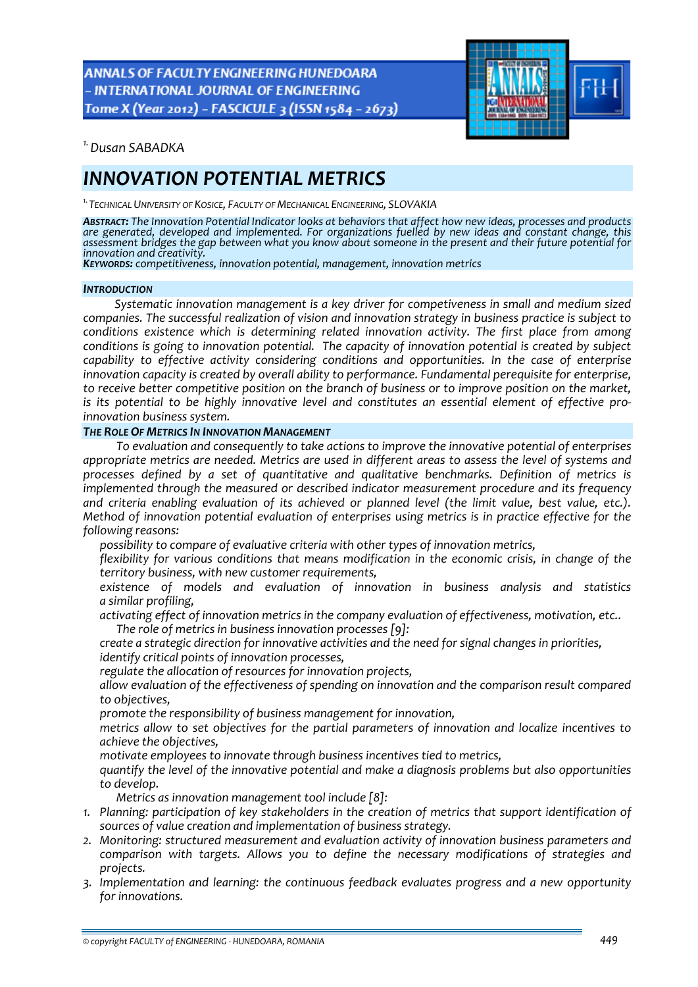**ANNALS OF FACULTY ENGINEERING HUNEDOARA** - INTERNATIONAL JOURNAL OF ENGINEERING Tome X (Year 2012) - FASCICULE 3 (ISSN 1584 - 2673)



*1.Dusan SABADKA* 

# *INNOVATION POTENTIAL METRICS*

*1.TECHNICAL UNIVERSITY OF KOSICE, FACULTY OF MECHANICAL ENGINEERING, SLOVAKIA*

ABSTRACT: The Innovation Potential Indicator looks at behaviors that affect how new ideas, processes and products *are generated, developed and implemented. For organizations fuelled by new ideas and constant change, this* assessment bridges the gap between what you know about someone in the present and their future potential for<br>innovation and creativity.

*innovation and creativity. KEYWORDS: competitiveness, innovation potential, management, innovation metrics*

## *INTRODUCTION*

*Systematic innovation management is a key driver for competiveness in small and medium sized companies. The successful realization of vision and innovation strategy in business practice is subject to conditions existence which is determining related innovation activity. The first place from among conditions is going to innovation potential. The capacity of innovation potential is created by subject capability to effective activity considering conditions and opportunities. In the case of enterprise innovation capacity is created by overall ability to performance. Fundamental perequisite for enterprise, to receive better competitive position on the branch of business or to improve position on the market, is its potential to be highly innovative level and constitutes an essential element of effective pro‐ innovation business system.*

## *THE ROLE OF METRICS IN INNOVATION MANAGEMENT*

*To evaluation and consequently to take actions to improve the innovative potential of enterprises appropriate metrics are needed. Metrics are used in different areas to assess the level of systems and processes defined by a set of quantitative and qualitative benchmarks. Definition of metrics is implemented through the measured or described indicator measurement procedure and its frequency and criteria enabling evaluation of its achieved or planned level (the limit value, best value, etc.). Method of innovation potential evaluation of enterprises using metrics is in practice effective for the following reasons:*

*possibility to compare of evaluative criteria with other types of innovation metrics,*

 *flexibility for various conditions that means modification in the economic crisis, in change of the territory business, with new customer requirements,*

 *existence of models and evaluation of innovation in business analysis and statistics a similar profiling,*

 *activating effect of innovation metrics in the company evaluation of effectiveness, motivation, etc.. The role of metrics in business innovation processes [9]:*

 *create a strategic direction for innovative activities and the need for signal changes in priorities, identify critical points of innovation processes,*

*regulate the allocation of resources for innovation projects,*

 *allow evaluation of the effectiveness of spending on innovation and the comparison result compared to objectives,*

*promote the responsibility of business management for innovation,*

 *metrics allow to set objectives for the partial parameters of innovation and localize incentives to achieve the objectives,*

*motivate employees to innovate through business incentives tied to metrics,*

 *quantify the level of the innovative potential and make a diagnosis problems but also opportunities to develop.*

*Metrics as innovation management tool include [8]:*

- *1. Planning: participation of key stakeholders in the creation of metrics that support identification of sources of value creation and implementation of business strategy.*
- *2. Monitoring: structured measurement and evaluation activity of innovation business parameters and comparison with targets. Allows you to define the necessary modifications of strategies and projects.*
- *3. Implementation and learning: the continuous feedback evaluates progress and a new opportunity for innovations.*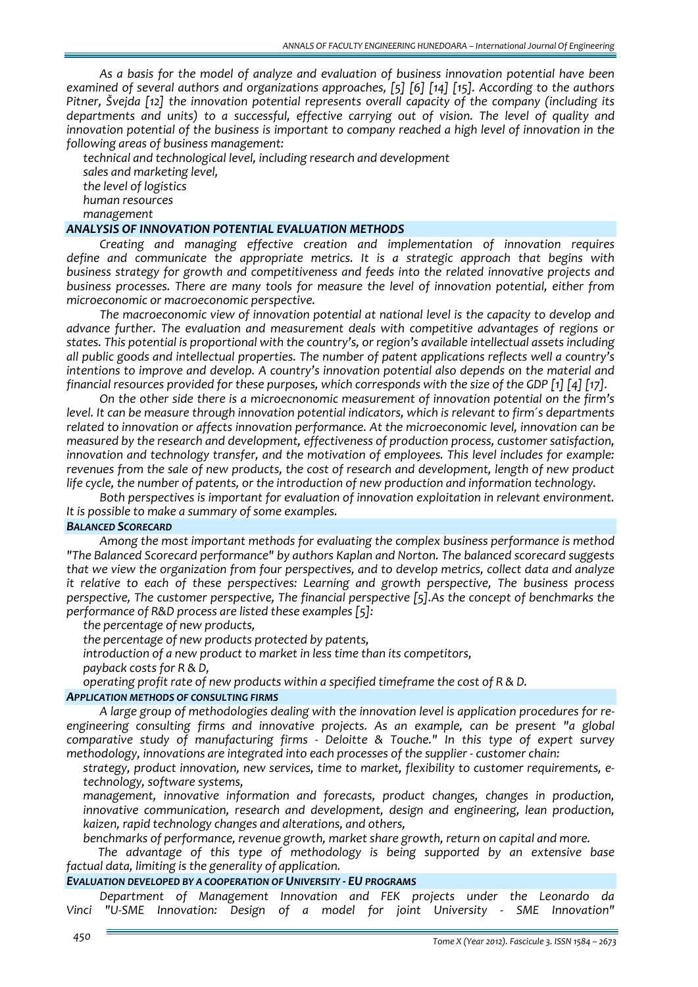*As a basis for the model of analyze and evaluation of business innovation potential have been examined of several authors and organizations approaches, [5] [6] [14] [15]. According to the authors Pitner, Švejda [12] the innovation potential represents overall capacity of the company (including its departments and units) to a successful, effective carrying out of vision. The level of quality and innovation potential of the business is important to company reached a high level of innovation in the following areas of business management:*

 *technical and technological level, including research and development sales and marketing level,*

 *the level of logistics human resources management*

## *ANALYSIS OF INNOVATION POTENTIAL EVALUATION METHODS*

*Creating and managing effective creation and implementation of innovation requires define and communicate the appropriate metrics. It is a strategic approach that begins with business strategy for growth and competitiveness and feeds into the related innovative projects and business processes. There are many tools for measure the level of innovation potential, either from microeconomic or macroeconomic perspective.* 

*The macroeconomic view of innovation potential at national level is the capacity to develop and advance further. The evaluation and measurement deals with competitive advantages of regions or states. This potential is proportional with the country's, or region's available intellectual assets including all public goods and intellectual properties. The number of patent applications reflects well a country's intentions to improve and develop. A country's innovation potential also depends on the material and financial resources provided for these purposes, which corresponds with the size of the GDP [1] [4] [17].*

*On the other side there is a microecnonomic measurement of innovation potential on the firm's level. It can be measure through innovation potential indicators, which is relevant to firm´s departments related to innovation or affects innovation performance. At the microeconomic level, innovation can be measured by the research and development, effectiveness of production process, customer satisfaction, innovation and technology transfer, and the motivation of employees. This level includes for example: revenues from the sale of new products, the cost of research and development, length of new product life cycle, the number of patents, or the introduction of new production and information technology.*

*Both perspectives is important for evaluation of innovation exploitation in relevant environment. It is possible to make a summary of some examples.*

#### *BALANCED SCORECARD*

*Among the most important methods for evaluating the complex business performance is method "The Balanced Scorecard performance" by authors Kaplan and Norton. The balanced scorecard suggests that we view the organization from four perspectives, and to develop metrics, collect data and analyze it relative to each of these perspectives: Learning and growth perspective, The business process perspective, The customer perspective, The financial perspective [5].As the concept of benchmarks the performance of R&D process are listed these examples [5]:*

*the percentage of new products,*

*the percentage of new products protected by patents,*

*introduction of a new product to market in less time than its competitors,*

*payback costs for R & D,*

*operating profit rate of new products within a specified timeframe the cost of R & D.*

## *APPLICATION METHODS OF CONSULTING FIRMS*

*A large group of methodologies dealing with the innovation level is application procedures for re‐ engineering consulting firms and innovative projects. As an example, can be present "a global comparative study of manufacturing firms ‐ Deloitte & Touche." In this type of expert survey methodology, innovations are integrated into each processes of the supplier ‐ customer chain:*

 *strategy, product innovation, new services, time to market, flexibility to customer requirements, e‐ technology, software systems,*

 *management, innovative information and forecasts, product changes, changes in production, innovative communication, research and development, design and engineering, lean production, kaizen, rapid technology changes and alterations, and others,* 

*benchmarks of performance, revenue growth, market share growth, return on capital and more.*

*The advantage of this type of methodology is being supported by an extensive base factual data, limiting is the generality of application.*

# *EVALUATION DEVELOPED BY A COOPERATION OF UNIVERSITY ‐ EU PROGRAMS*

*Department of Management Innovation and FEK projects under the Leonardo da Vinci "U‐SME Innovation: Design of a model for joint University ‐ SME Innovation"*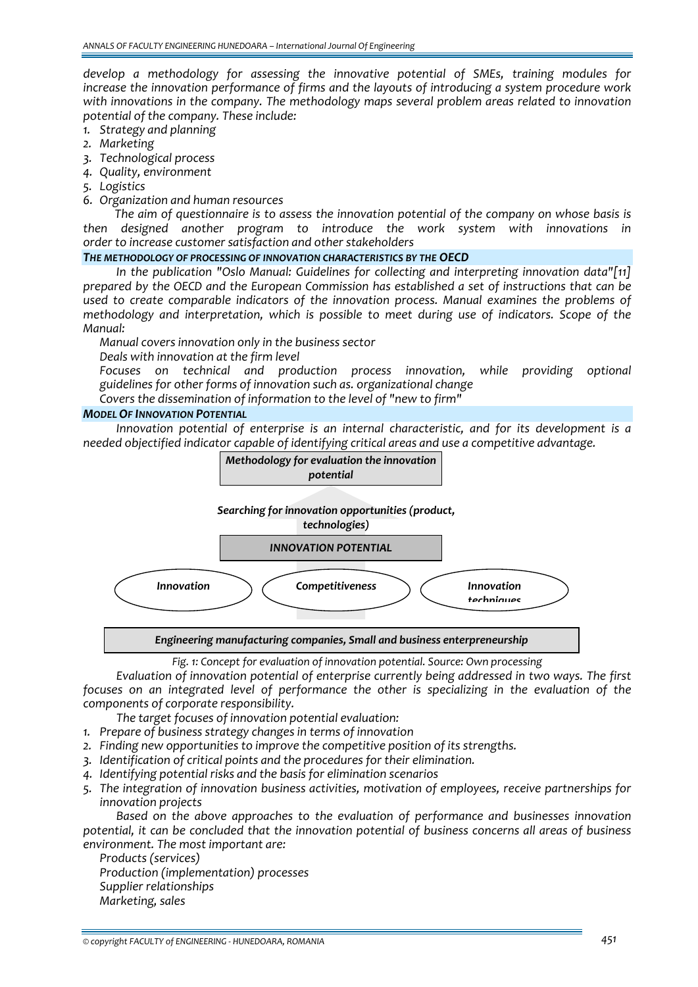*develop a methodology for assessing the innovative potential of SMEs, training modules for increase the innovation performance of firms and the layouts of introducing a system procedure work with innovations in the company. The methodology maps several problem areas related to innovation potential of the company. These include:*

- *1. Strategy and planning*
- *2. Marketing*
- *3. Technological process*
- *4. Quality, environment*
- *5. Logistics*
- *6. Organization and human resources*

*The aim of questionnaire is to assess the innovation potential of the company on whose basis is then designed another program to introduce the work system with innovations in order to increase customer satisfaction and other stakeholders*

## *THE METHODOLOGY OF PROCESSING OF INNOVATION CHARACTERISTICS BY THE OECD*

*In the publication "Oslo Manual: Guidelines for collecting and interpreting innovation data"[11] prepared by the OECD and the European Commission has established a set of instructions that can be used to create comparable indicators of the innovation process. Manual examines the problems of methodology and interpretation, which is possible to meet during use of indicators. Scope of the Manual:*

*Manual covers innovation only in the business sector*

*Deals with innovation at the firm level*

 *Focuses on technical and production process innovation, while providing optional guidelines for other forms of innovation such as. organizational change*

*Covers the dissemination of information to the level of "new to firm"*

# *MODEL OF INNOVATION POTENTIAL*

*Innovation potential of enterprise is an internal characteristic, and for its development is a needed objectified indicator capable of identifying critical areas and use a competitive advantage.*



*Fig. 1: Concept for evaluation of innovation potential. Source: Own processing*

*Evaluation of innovation potential of enterprise currently being addressed in two ways. The first focuses on an integrated level of performance the other is specializing in the evaluation of the components of corporate responsibility.*

- *The target focuses of innovation potential evaluation:*
- *1. Prepare of business strategy changes in terms of innovation*
- *2. Finding new opportunities to improve the competitive position of its strengths.*
- *3. Identification of critical points and the procedures for their elimination.*
- *4. Identifying potential risks and the basis for elimination scenarios*
- *5. The integration of innovation business activities, motivation of employees, receive partnerships for innovation projects*

*Based on the above approaches to the evaluation of performance and businesses innovation potential, it can be concluded that the innovation potential of business concerns all areas of business environment. The most important are:*

 *Products (services) Production (implementation) processes Supplier relationships Marketing, sales*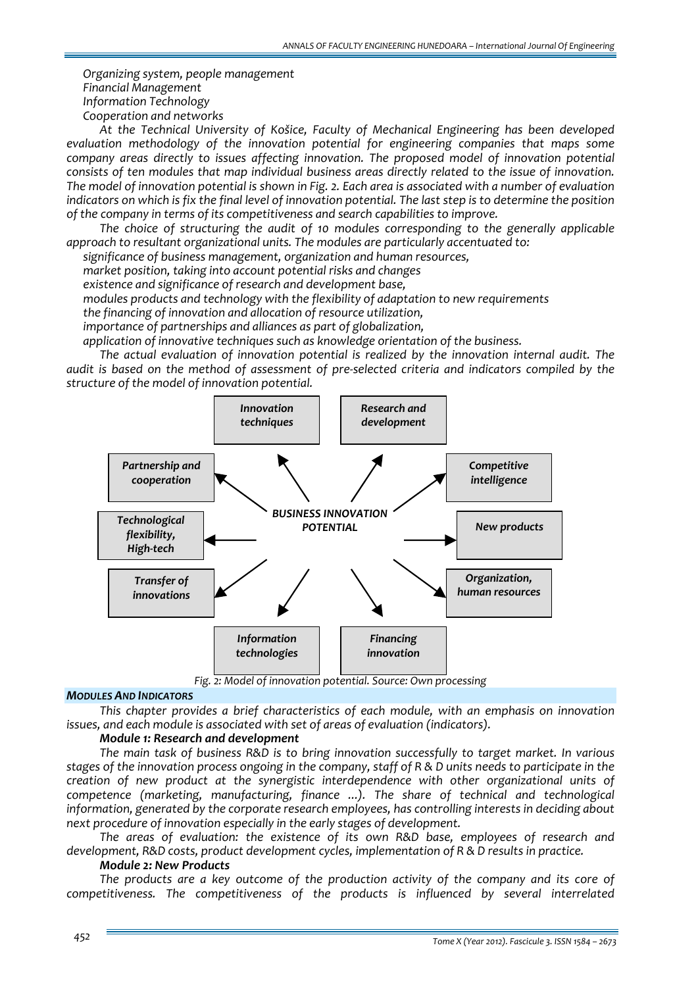*Organizing system, people management Financial Management Information Technology Cooperation and networks*

*At the Technical University of Košice, Faculty of Mechanical Engineering has been developed evaluation methodology of the innovation potential for engineering companies that maps some company areas directly to issues affecting innovation. The proposed model of innovation potential consists of ten modules that map individual business areas directly related to the issue of innovation.* The model of innovation potential is shown in Fig. 2. Each area is associated with a number of evaluation indicators on which is fix the final level of innovation potential. The last step is to determine the position *of the company in terms of its competitiveness and search capabilities to improve.* 

*The choice of structuring the audit of 10 modules corresponding to the generally applicable approach to resultant organizational units. The modules are particularly accentuated to:*

*significance of business management, organization and human resources,*

*market position, taking into account potential risks and changes*

*existence and significance of research and development base,*

*modules products and technology with the flexibility of adaptation to new requirements*

*the financing of innovation and allocation of resource utilization,*

*importance of partnerships and alliances as part of globalization,*

*application of innovative techniques such as knowledge orientation of the business.*

*The actual evaluation of innovation potential is realized by the innovation internal audit. The audit is based on the method of assessment of pre‐selected criteria and indicators compiled by the structure of the model of innovation potential.*



*Fig. 2: Model of innovation potential. Source: Own processing*

#### *MODULES AND INDICATORS*

*This chapter provides a brief characteristics of each module, with an emphasis on innovation issues, and each module is associated with set of areas of evaluation (indicators).*

# *Module 1: Research and development*

*The main task of business R&D is to bring innovation successfully to target market. In various* stages of the innovation process ongoing in the company, staff of R & D units needs to participate in the *creation of new product at the synergistic interdependence with other organizational units of competence (marketing, manufacturing, finance ...). The share of technical and technological information, generated by the corporate research employees, has controlling interests in deciding about next procedure of innovation especially in the early stages of development.*

*The areas of evaluation: the existence of its own R&D base, employees of research and development, R&D costs, product development cycles, implementation of R & D results in practice.*

## *Module 2: New Products*

*The products are a key outcome of the production activity of the company and its core of competitiveness. The competitiveness of the products is influenced by several interrelated*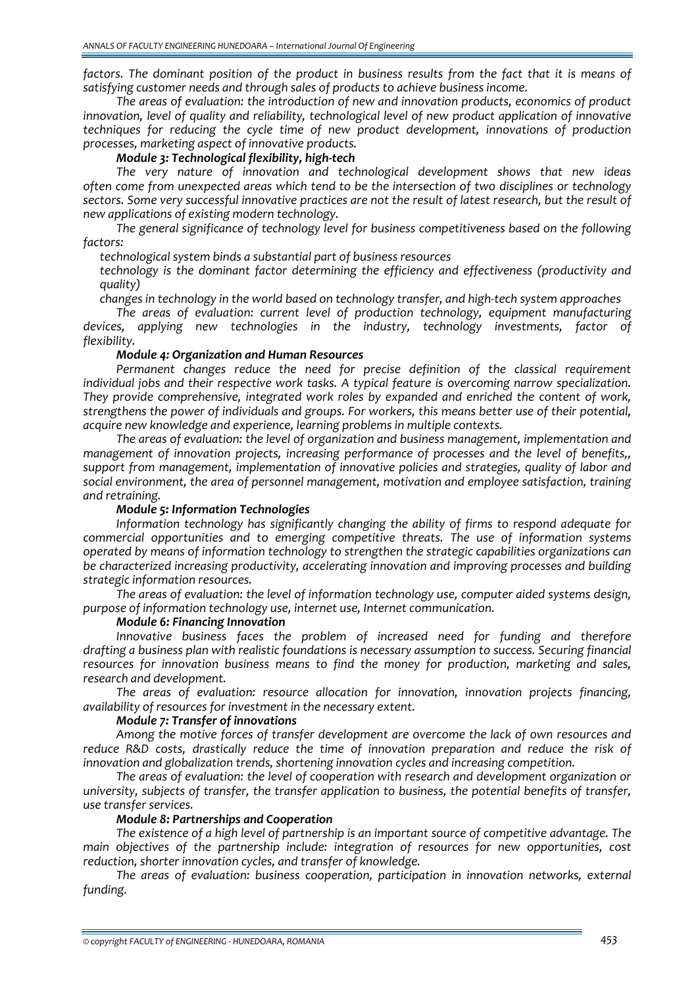factors. The dominant position of the product in business results from the fact that it is means of *satisfying customer needs and through sales of products to achieve business income.* 

*The areas of evaluation: the introduction of new and innovation products, economics of product innovation, level of quality and reliability, technological level of new product application of innovative techniques for reducing the cycle time of new product development, innovations of production processes, marketing aspect of innovative products.*

## *Module 3: Technological flexibility, high‐tech*

*The very nature of innovation and technological development shows that new ideas often come from unexpected areas which tend to be the intersection of two disciplines or technology* sectors. Some very successful innovative practices are not the result of latest research, but the result of *new applications of existing modern technology.*

*The general significance of technology level for business competitiveness based on the following factors:*

*technological system binds a substantial part of business resources*

 *technology is the dominant factor determining the efficiency and effectiveness (productivity and quality)*

*changes in technology in the world based on technology transfer, and high‐tech system approaches*

*The areas of evaluation: current level of production technology, equipment manufacturing devices, applying new technologies in the industry, technology investments, factor of flexibility.*

## *Module 4: Organization and Human Resources*

*Permanent changes reduce the need for precise definition of the classical requirement individual jobs and their respective work tasks. A typical feature is overcoming narrow specialization. They provide comprehensive, integrated work roles by expanded and enriched the content of work, strengthens the power of individuals and groups. For workers, this means better use of their potential, acquire new knowledge and experience, learning problems in multiple contexts.*

*The areas of evaluation: the level of organization and business management, implementation and management of innovation projects, increasing performance of processes and the level of benefits,, support from management, implementation of innovative policies and strategies, quality of labor and social environment, the area of personnel management, motivation and employee satisfaction, training and retraining.*

# *Module 5: Information Technologies*

*Information technology has significantly changing the ability of firms to respond adequate for commercial opportunities and to emerging competitive threats. The use of information systems operated by means of information technology to strengthen the strategic capabilities organizations can be characterized increasing productivity, accelerating innovation and improving processes and building strategic information resources.*

*The areas of evaluation: the level of information technology use, computer aided systems design, purpose of information technology use, internet use, Internet communication.*

## *Module 6: Financing Innovation*

*Innovative business faces the problem of increased need for funding and therefore drafting a business plan with realistic foundations is necessary assumption to success. Securing financial resources for innovation business means to find the money for production, marketing and sales, research and development.* 

*The areas of evaluation: resource allocation for innovation, innovation projects financing, availability of resources for investment in the necessary extent.*

## *Module 7: Transfer of innovations*

*Among the motive forces of transfer development are overcome the lack of own resources and reduce R&D costs, drastically reduce the time of innovation preparation and reduce the risk of innovation and globalization trends, shortening innovation cycles and increasing competition.*

*The areas of evaluation: the level of cooperation with research and development organization or university, subjects of transfer, the transfer application to business, the potential benefits of transfer, use transfer services.*

## *Module 8: Partnerships and Cooperation*

*The existence of a high level of partnership is an important source of competitive advantage. The main objectives of the partnership include: integration of resources for new opportunities, cost reduction, shorter innovation cycles, and transfer of knowledge.*

*The areas of evaluation: business cooperation, participation in innovation networks, external funding.*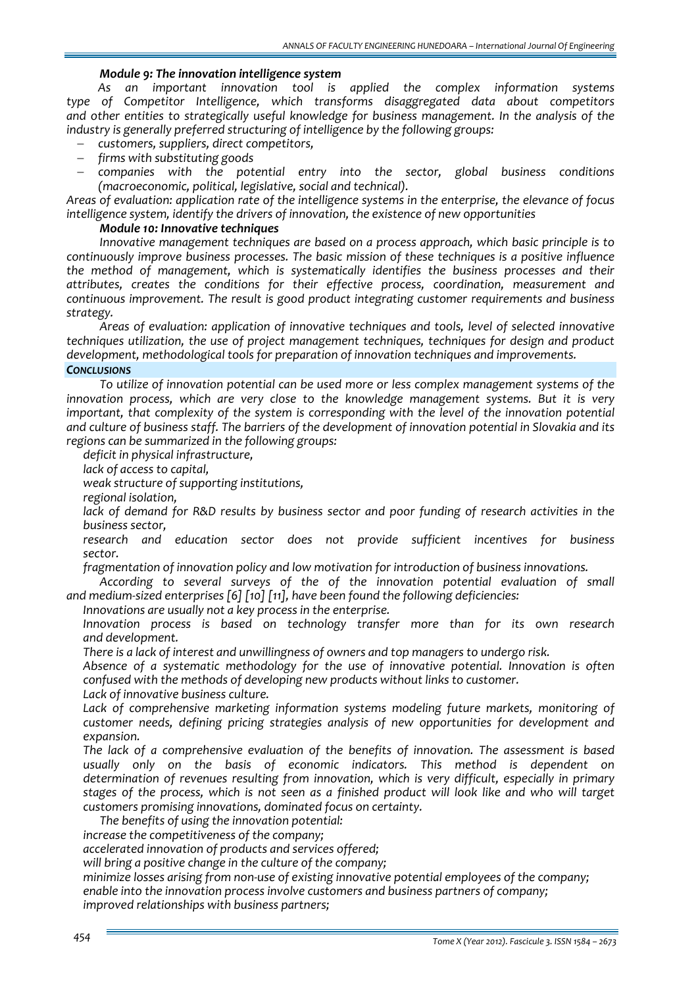## *Module 9: The innovation intelligence system*

*As an important innovation tool is applied the complex information systems type of Competitor Intelligence, which transforms disaggregated data about competitors and other entities to strategically useful knowledge for business management. In the analysis of the industry is generally preferred structuring of intelligence by the following groups:*

- − *customers, suppliers, direct competitors,*
- − *firms with substituting goods*
- − *companies with the potential entry into the sector, global business conditions (macroeconomic, political, legislative, social and technical).*

*Areas of evaluation: application rate of the intelligence systems in the enterprise, the elevance of focus intelligence system, identify the drivers of innovation, the existence of new opportunities*

## *Module 10: Innovative techniques*

*Innovative management techniques are based on a process approach, which basic principle is to continuously improve business processes. The basic mission of these techniques is a positive influence the method of management, which is systematically identifies the business processes and their attributes, creates the conditions for their effective process, coordination, measurement and continuous improvement. The result is good product integrating customer requirements and business strategy.*

*Areas of evaluation: application of innovative techniques and tools, level of selected innovative techniques utilization, the use of project management techniques, techniques for design and product development, methodological tools for preparation of innovation techniques and improvements.*

# *CONCLUSIONS*

*To utilize of innovation potential can be used more or less complex management systems of the innovation process, which are very close to the knowledge management systems. But it is very important, that complexity of the system is corresponding with the level of the innovation potential* and culture of business staff. The barriers of the development of innovation potential in Slovakia and its *regions can be summarized in the following groups:*

*deficit in physical infrastructure,*

*lack of access to capital,*

*weak structure of supporting institutions,*

*regional isolation,*

 *lack of demand for R&D results by business sector and poor funding of research activities in the business sector,*

 *research and education sector does not provide sufficient incentives for business sector.*

*fragmentation of innovation policy and low motivation for introduction of business innovations.*

*According to several surveys of the of the innovation potential evaluation of small and medium‐sized enterprises [6] [10] [11], have been found the following deficiencies:*

*Innovations are usually not a key process in the enterprise.*

 *Innovation process is based on technology transfer more than for its own research and development.*

*There is a lack of interest and unwillingness of owners and top managers to undergo risk.*

 *Absence of a systematic methodology for the use of innovative potential. Innovation is often confused with the methods of developing new products without links to customer.*

*Lack of innovative business culture.*

 *Lack of comprehensive marketing information systems modeling future markets, monitoring of customer needs, defining pricing strategies analysis of new opportunities for development and expansion.*

 *The lack of a comprehensive evaluation of the benefits of innovation. The assessment is based usually only on the basis of economic indicators. This method is dependent on determination of revenues resulting from innovation, which is very difficult, especially in primary* stages of the process, which is not seen as a finished product will look like and who will target *customers promising innovations, dominated focus on certainty.*

*The benefits of using the innovation potential:*

*increase the competitiveness of the company;*

*accelerated innovation of products and services offered;*

*will bring a positive change in the culture of the company;*

 *minimize losses arising from non‐use of existing innovative potential employees of the company; enable into the innovation process involve customers and business partners of company;*

*improved relationships with business partners;*